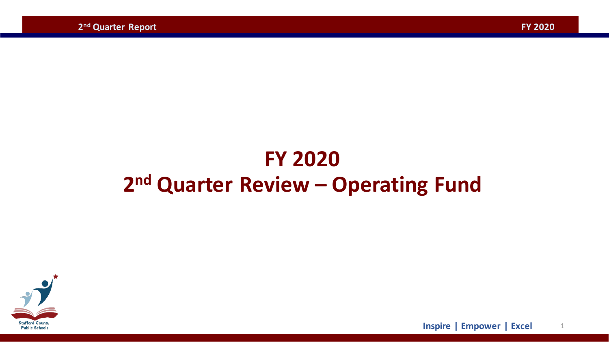# **FY 2020 2nd Quarter Review – Operating Fund**



1 **Inspire | Empower | Excel**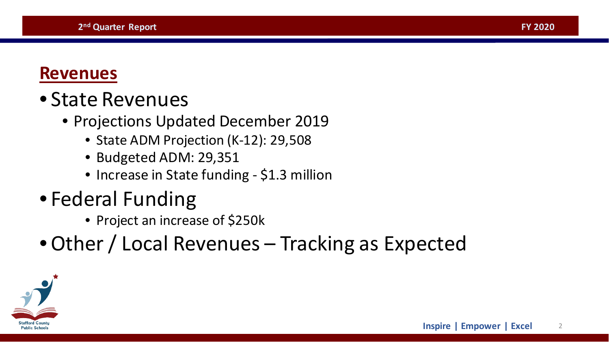#### **Revenues**

# • State Revenues

- Projections Updated December 2019
	- State ADM Projection (K-12): 29,508
	- Budgeted ADM: 29,351
	- Increase in State funding \$1.3 million
- Federal Funding
	- Project an increase of \$250k
- •Other / Local Revenues Tracking as Expected

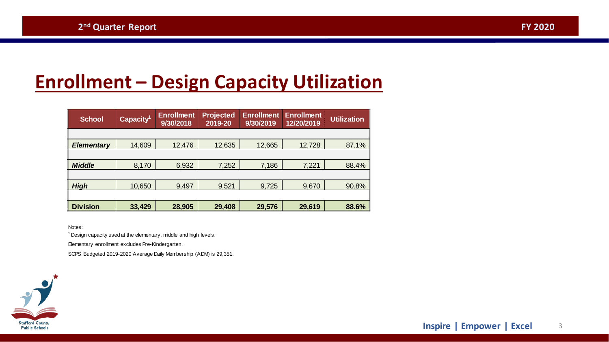# **Enrollment – Design Capacity Utilization**

| <b>School</b>     | Capacity <sup>1</sup> | <b>Enrollment</b><br>9/30/2018 | <b>Projected</b><br>2019-20 | <b>Enrollment</b><br>9/30/2019 | <b>Enrollment</b><br>12/20/2019 | <b>Utilization</b> |
|-------------------|-----------------------|--------------------------------|-----------------------------|--------------------------------|---------------------------------|--------------------|
|                   |                       |                                |                             |                                |                                 |                    |
| <b>Elementary</b> | 14,609                | 12,476                         | 12,635                      | 12,665                         | 12,728                          | 87.1%              |
|                   |                       |                                |                             |                                |                                 |                    |
| <b>Middle</b>     | 8,170                 | 6,932                          | 7,252                       | 7,186                          | 7,221                           | 88.4%              |
|                   |                       |                                |                             |                                |                                 |                    |
| <b>High</b>       | 10,650                | 9,497                          | 9,521                       | 9,725                          | 9,670                           | 90.8%              |
|                   |                       |                                |                             |                                |                                 |                    |
| <b>Division</b>   | 33,429                | 28,905                         | 29,408                      | 29,576                         | 29,619                          | 88.6%              |

Notes:

 $1$  Design capacity used at the elementary, middle and high levels.

Elementary enrollment excludes Pre-Kindergarten.

SCPS Budgeted 2019-2020 Average Daily Membership (ADM) is 29,351.

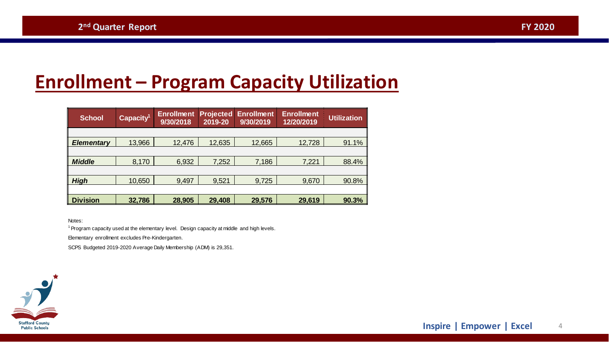# **Enrollment – Program Capacity Utilization**

| <b>School</b>     | Capacity <sup>1</sup> | <b>Enrollment</b><br>9/30/2018 | <b>Projected</b><br>2019-20 | <b>Enrollment</b><br>9/30/2019 | <b>Enrollment</b><br>12/20/2019 | <b>Utilization</b> |  |  |  |
|-------------------|-----------------------|--------------------------------|-----------------------------|--------------------------------|---------------------------------|--------------------|--|--|--|
|                   |                       |                                |                             |                                |                                 |                    |  |  |  |
| <b>Elementary</b> | 13,966                | 12,476                         | 12,635                      | 12,665                         | 12,728                          | 91.1%              |  |  |  |
|                   |                       |                                |                             |                                |                                 |                    |  |  |  |
| <b>Middle</b>     | 8,170                 | 6,932                          | 7,252                       | 7,186                          | 7,221                           | 88.4%              |  |  |  |
|                   |                       |                                |                             |                                |                                 |                    |  |  |  |
| <b>High</b>       | 10,650                | 9,497                          | 9,521                       | 9,725                          | 9,670                           | 90.8%              |  |  |  |
|                   |                       |                                |                             |                                |                                 |                    |  |  |  |
| <b>Division</b>   | 32,786                | 28,905                         | 29,408                      | 29,576                         | 29,619                          | 90.3%              |  |  |  |

Notes:

<sup>1</sup> Program capacity used at the elementary level. Design capacity at middle and high levels.

Elementary enrollment excludes Pre-Kindergarten.

SCPS Budgeted 2019-2020 Average Daily Membership (ADM) is 29,351.

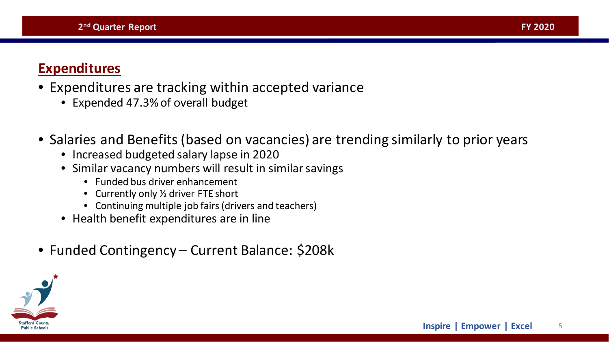#### **Expenditures**

- Expenditures are tracking within accepted variance
	- Expended 47.3% of overall budget
- Salaries and Benefits (based on vacancies) are trending similarly to prior years
	- Increased budgeted salary lapse in 2020
	- Similar vacancy numbers will result in similar savings
		- Funded bus driver enhancement
		- Currently only 1/2 driver FTE short
		- Continuing multiple job fairs (drivers and teachers)
	- Health benefit expenditures are in line
- Funded Contingency Current Balance: \$208k

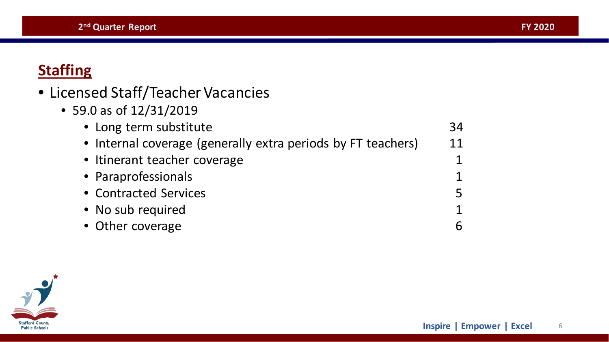### <span id="page-5-0"></span>**Staffing**

- Licensed Staff/Teacher Vacancies
	- 59.0 as of 12/31/2019

| • Long term substitute                                       | 34        |  |
|--------------------------------------------------------------|-----------|--|
| • Internal coverage (generally extra periods by FT teachers) |           |  |
| • Itinerant teacher coverage                                 |           |  |
| • Paraprofessionals                                          |           |  |
| • Contracted Services                                        | <u> Қ</u> |  |
| • No sub required                                            |           |  |
| • Other coverage                                             |           |  |

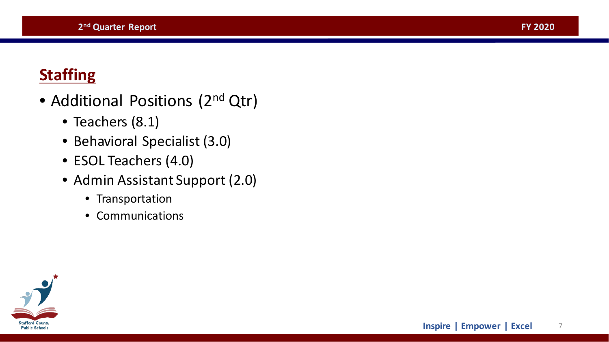### **Staffing**

- Additional Positions (2<sup>nd</sup> Qtr)
	- Teachers (8.1)
	- Behavioral Specialist (3.0)
	- ESOL Teachers (4.0)
	- Admin Assistant Support (2.0)
		- Transportation
		- Communications

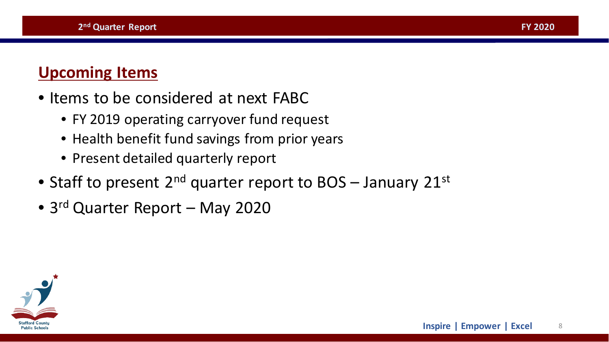#### **Upcoming Items**

- Items to be considered at next FABC
	- FY 2019 operating carryover fund request
	- Health benefit fund savings from prior years
	- Present detailed quarterly report
- Staff to present  $2^{nd}$  quarter report to BOS January  $21^{st}$
- 3<sup>rd</sup> Quarter Report May 2020